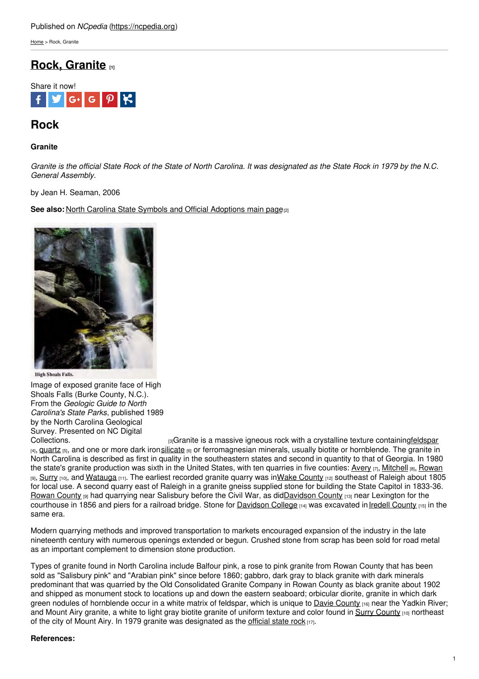[Home](https://ncpedia.org/) > Rock, Granite

# **Rock, [Granite](https://ncpedia.org/symbols/rock) [1]**



## **Rock**

## **Granite**

Granite is the official State Rock of the State of North Carolina. It was designated as the State Rock in 1979 by the N.C. *General Assembly.*

by Jean H. Seaman, 2006

**See also:** North Carolina State Symbols and [Official](http://www.social9.com) [Adoptions](https://ncpedia.org/symbols) main page<sup>[2]</sup>



**High Shoals Falls.** 

Image of exposed granite face of High Shoals Falls (Burke County, N.C.). From the *Geologic Guide to North Carolina's State Parks*, published 1989 by the North Carolina Geological Survey. Presented on NC Digital<br>Collections.

<sup>[3]</sup>Granite is a massive igneous rock with a crystalline texture containin[gfeldspar](http://www.geology.enr.state.nc.us/Mineral resources/feldmod.html) [4], **[quartz](http://www.merriam-webster.com/dictionary/quartz)** [5], and one or more dark iron[silicate](http://www.merriam-webster.com/dictionary/silicate) [6] or ferromagnesian minerals, usually biotite or hornblende. The granite in North Carolina is described as first in quality in the southeastern states and second in quantity to that of Georgia. In 1980 the state's granite production was sixth in the United States, with ten quarries in five counties:  $Avery_{[7]}$  $Avery_{[7]}$ , [Mitchell](https://ncpedia.org/geography/mitchell) [8], [Rowan](https://ncpedia.org/geography/rowan) [9], [Surry](https://ncpedia.org/geography/surry) [10], and [Watauga](https://ncpedia.org/geography/watauga) [11]. The earliest recorded granite quarry was inWake [County](https://ncpedia.org/geography/wake) [12] southeast of Raleigh about 1805 for local use. A second quarry east of Raleigh in a granite gneiss supplied stone for building the State Capitol in 1833-36. [Rowan](https://ncpedia.org/geography/rowan) County [9] had quarrying near Salisbury before the Civil War, as di[dDavidson](https://ncpedia.org/geography/davidson) County [13] near Lexington for the courthouse in 1856 and piers for a railroad bridge. Stone for [Davidson](https://ncpedia.org/davidson-college) College [14] was excavated in Iredell [County](https://ncpedia.org/geography/iredell) [15] in the same era.

Modern quarrying methods and improved transportation to markets encouraged expansion of the industry in the late nineteenth century with numerous openings extended or begun. Crushed stone from scrap has been sold for road metal as an important complement to dimension stone production.

Types of granite found in North Carolina include Balfour pink, a rose to pink granite from Rowan County that has been sold as "Salisbury pink" and "Arabian pink" since before 1860; gabbro, dark gray to black granite with dark minerals predominant that was quarried by the Old Consolidated Granite Company in Rowan County as black granite about 1902 and shipped as monument stock to locations up and down the eastern seaboard; orbicular diorite, granite in which dark green nodules of hornblende occur in a white matrix of feldspar, which is unique to Davie [County](https://ncpedia.org/geography/davie) [16] near the Yadkin River; and Mount Airy granite, a white to light gray biotite granite of uniform texture and color found in Surry [County](https://ncpedia.org/geography/surry) [10] northeast of the city of Mount Airy. In 1979 granite was designated as the [official](http://digital.ncdcr.gov/u?/p249901coll22,389284) state rock  $[17]$ .

### **References:**